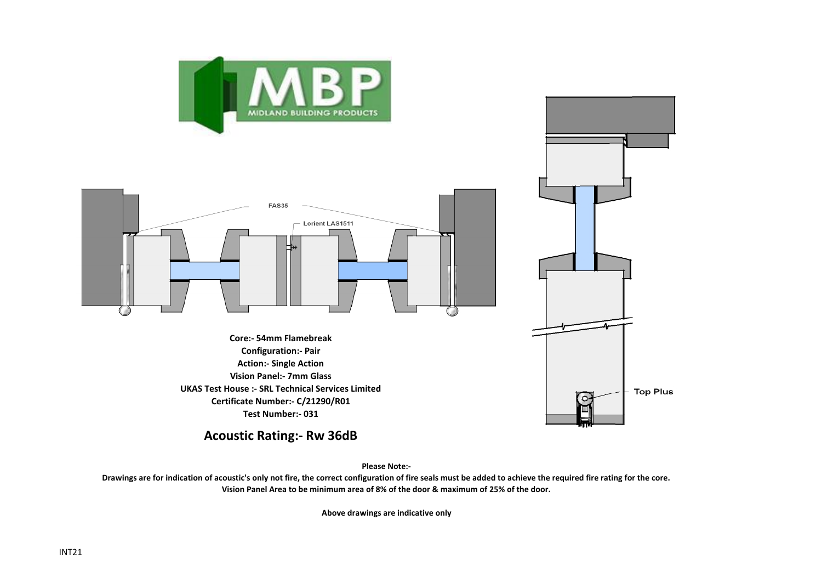



**Vision Panel:- 7mm Glass UKAS Test House :- SRL Technical Services Limited Certificate Number:- C/21290/R01 Test Number:- 031**

**Acoustic Rating:- Rw 36dB**

**Please Note:-** 

**Top Plus** 

 $\mathcal{L}$ 

**Drawings are for indication of acoustic's only not fire, the correct configuration of fire seals must be added to achieve the required fire rating for the core. Vision Panel Area to be minimum area of 8% of the door & maximum of 25% of the door.**

**Above drawings are indicative only**